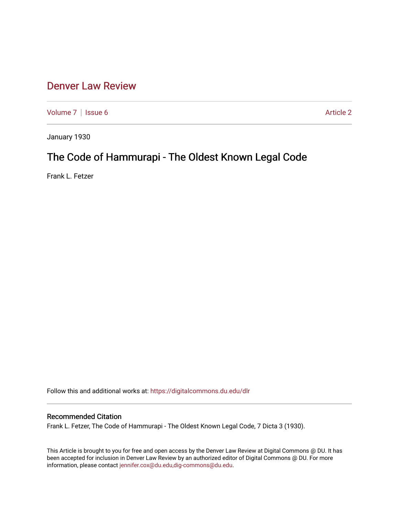# [Denver Law Review](https://digitalcommons.du.edu/dlr)

[Volume 7](https://digitalcommons.du.edu/dlr/vol7) | [Issue 6](https://digitalcommons.du.edu/dlr/vol7/iss6) Article 2

January 1930

# The Code of Hammurapi - The Oldest Known Legal Code

Frank L. Fetzer

Follow this and additional works at: [https://digitalcommons.du.edu/dlr](https://digitalcommons.du.edu/dlr?utm_source=digitalcommons.du.edu%2Fdlr%2Fvol7%2Fiss6%2F2&utm_medium=PDF&utm_campaign=PDFCoverPages) 

## Recommended Citation

Frank L. Fetzer, The Code of Hammurapi - The Oldest Known Legal Code, 7 Dicta 3 (1930).

This Article is brought to you for free and open access by the Denver Law Review at Digital Commons @ DU. It has been accepted for inclusion in Denver Law Review by an authorized editor of Digital Commons @ DU. For more information, please contact [jennifer.cox@du.edu,dig-commons@du.edu.](mailto:jennifer.cox@du.edu,dig-commons@du.edu)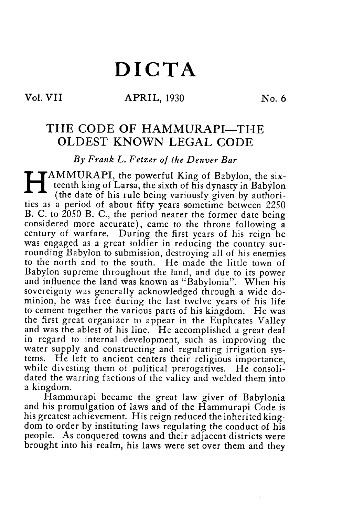# **DICTA**

### **Vol. VII 61 APRIL, 1930 No. 6**

## THE CODE OF HAMMURAPI-THE **OLDEST** KNOWN **LEGAL CODE**

*By Frank L. Fetzer of the Denver Bar*

AMMURAPI, the powerful King of Babylon, the sixteenth king of Larsa, the sixth of his dynasty in Babylon (the date of his rule being variously given by authorities as a period of about fifty years sometime between *2250* B. C. to 2050 B. C., the period nearer the former date being considered more accurate), came to the throne following a century of warfare. During the first years of his reign he was engaged as a great soldier in reducing the country surrounding Babylon to submission, destroying all of his enemies to the north and to the south. He made the little town of Babylon supreme throughout the land, and due to its power and influence the land was known as "Babylonia". When his sovereignty was generally acknowledged through a wide dominion, he was free during the last twelve years of his life to cement together the various parts of his kingdom. He was the first great organizer to appear in the Euphrates Valley and was the ablest of his line. He accomplished a great deal in regard to internal development, such as improving the water supply and constructing and regulating irrigation systems. He left to ancient centers their religious importance, while divesting them of political prerogatives. He consolidated the warring factions of the valley and welded them into a kingdom.

Hammurapi became the great law giver of Babylonia and his promulgation of laws and of the Hammurapi Code is his greatest achievement. His reign reduced the inherited kingdom to order by instituting laws regulating the conduct of his people. As conquered towns and their adjacent districts were brought into his realm, his laws were set over them and they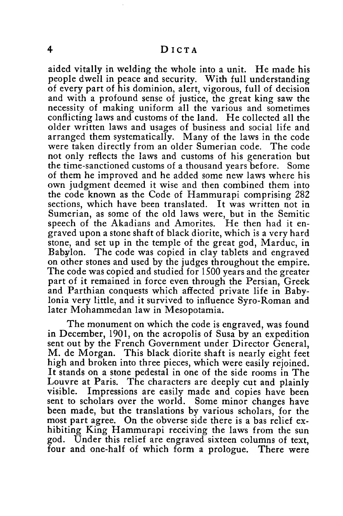aided vitally in welding the whole into a unit. He made his people dwell in peace and security. With full understanding of every part of his dominion, alert, vigorous, full of decision and with a profound sense of justice, the great king saw the necessity of making uniform all the various and sometimes conflicting laws and customs of the land. He collected all the older written laws and usages of business and social life and arranged them systematically. Many of the laws in the code were taken directly from an older Sumerian code. The code not only reflects the laws and customs of his generation but the time-sanctioned customs of a thousand years before. Some of them he improved and he added some new laws where his own judgment deemed it wise and then combined them into the code known as the Code of Hammurapi comprising 282 sections, which have been translated. It was written not in Sumerian, as some of the old laws were, but in the Semitic speech of the Akadians and Amorites. He then had it engraved upon a stone shaft of black diorite, which is a very hard stone, and set up in the temple of the great god, Marduc, in Babylon. The code was copied in clay tablets and engraved on other stones and used by the judges throughout the empire. The code was copied and studied for 1500 years and the greater part of it remained in force even through the Persian, Greek and Parthian conquests which affected private life in Babylonia very little, and it survived to influence Syro-Roman and later Mohammedan law in Mesopotamia.

The monument on which the code is engraved, was found in December, 1901, on the acropolis of Susa by an expedition sent out by the French Government under Director General, M. de Morgan. This black diorite shaft is nearly eight feet high and broken into three pieces, which were easily rejoined. It stands on a stone pedestal in one of the side rooms in The Louvre at Paris. The characters are deeply cut and plainly visible. Impressions are easily made and copies have been sent to scholars over the world. Some minor changes have been made, but the translations by various scholars, for the most part agree. On the obverse side there is a bas relief exhibiting King Hammurapi receiving the laws from the sun god. Under this relief are engraved sixteen columns of text, four and one-half of which form a prologue. There were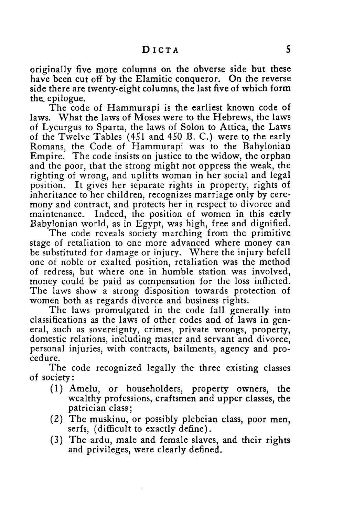originally five more columns on the obverse side but these have been cut off by the Elamitic conqueror. On the reverse side there are twenty-eight columns, the last five of which form the, epilogue.

The code of Hammurapi is the earliest known code of laws. What the laws of Moses were to the Hebrews, the laws of Lycurgus to Sparta, the laws of Solon to Attica, the Laws of the Twelve Tables (451 and 450 B. C.) were to the early Romans, the Code of Hammurapi was to the Babylonian Empire. The code insists on justice to the widow, the orphan and the poor, that the strong might not oppress the weak, the righting of wrong, and uplifts woman in her social and legal position. It gives her separate rights in property, rights of inheritance to her children, recognizes marriage only by ceremony and contract, and protects her in respect to divorce and maintenance. Indeed, the position of women in this early Babylonian world, as in Egypt, was high, free and dignified.

The code reveals society marching from the primitive stage of retaliation to one more advanced where money can be substituted for damage or injury. Where the injury befell one of noble or exalted position, retaliation was the method of redress, but where one in humble station was involved, money could be paid as compensation for the loss inflicted. The laws show a strong disposition towards protection of women both as regards divorce and business rights.

The laws promulgated in the code fall generally into classifications as the laws of other codes and of laws in general, such as sovereignty, crimes, private wrongs, property, domestic relations, including master and servant and divorce, personal injuries, with contracts, bailments, agency and procedure.

The code recognized legally the three existing classes of society:

- (1) Amelu, or householders, property owners, the wealthy professions, craftsmen and upper classes, the patrician class;
- (2) The muskinu, or possibly plebeian class, poor men, serfs, (difficult to exactly define).
- **(3)** The ardu, male and female slaves, and their rights and privileges, were clearly defined.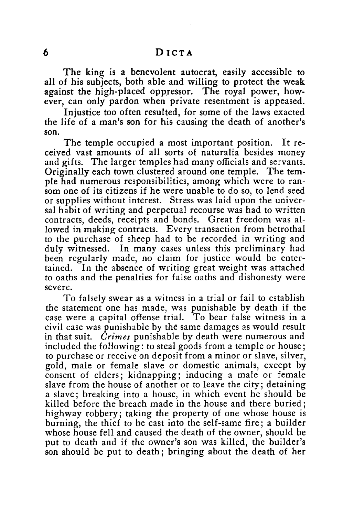The king is a benevolent autocrat, easily accessible to all of his subjects, both able and willing to protect the weak against the high-placed oppressor. The royal power, however, can only pardon when private resentment is appeased.

Injustice too often resulted, for some of the laws exacted the life of a man's son for his causing the death of another's son.

The temple occupied a most important position. It received vast amounts of all sorts of naturalia besides money and gifts. The larger temples had many officials and servants. Originally each town clustered around one temple. The temple had numerous responsibilities, among which were to ransom one of its citizens **if** he were unable to do so, to lend seed or supplies without interest. Stress was laid upon the universal habit of writing and perpetual recourse was had to written contracts, deeds, receipts and bonds. Great freedom was allowed in making contracts. Every transaction from betrothal to the purchase of sheep had to be recorded in writing and duly witnessed. In many cases unless this preliminary had been regularly made, no claim for justice would **be** entertained. In the absence of writing great weight was attached to oaths and the penalties for false oaths and dishonesty were severe.

To falsely swear as a witness in a trial or fail to establish the statement one has made, was punishable by death if the case were a capital offense trial. To bear false witness in a civil case was punishable by the same damages as would result in that suit. *Crimes* punishable by death were numerous and included the following: to steal goods from a temple or house; to purchase or receive on deposit from a minor or slave, silver, gold, male or female slave or domestic animals, except by consent of elders; kidnapping; inducing a male or female slave from the house of another or to leave the city; detaining a slave; breaking into a house, in which event he should be killed before the breach made in the house and there buried; highway robbery; taking the property of one whose house is burning, the thief to be cast into the self-same fire; a builder whose house **fell** and caused the death of the owner, should be put to death and if the owner's son was killed, the builder's son should be put to death; bringing about the death of her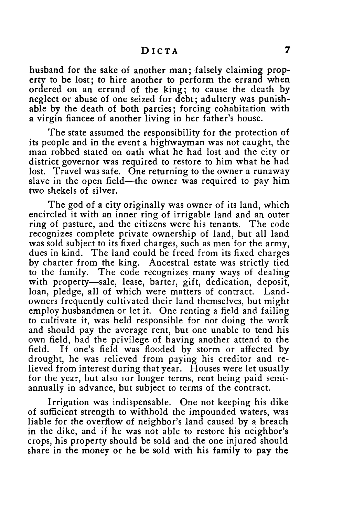#### **DICTA**

husband for the sake of another man; falsely claiming property to be lost; to hire another to perform the errand when ordered on an errand of the king; to cause the death **by** neglect or abuse of one seized for debt; adultery was punishable **by** the death of both parties; forcing cohabitation with a virgin fiancee of another living in her father's house.

The state assumed the responsibility for the protection of its people and in the event a highwayman was not caught, the man robbed stated on oath what he had lost and the city or district governor was required to restore to him what he had lost. Travel was safe. One returning to the owner a runaway slave in the open field—the owner was required to pay him two shekels of silver.

The god of a city originally was owner of its land, which encircled it with an inner ring of irrigable land and an outer ring of pasture, and the citizens were his tenants. The code recognizes complete private ownership of land, but all land was sold subject to its fixed charges, such as men for the army, dues in kind. The land could be freed from its fixed charges **by** charter from the king. Ancestral estate was strictly tied to the family. The code recognizes many ways of dealing with property-sale, lease, barter, gift, dedication, deposit, loan, pledge, all of which were matters of contract. Landowners frequently cultivated their land themselves, but might employ husbandmen or let it. One renting a field and failing to cultivate it, was held responsible for not doing the work and should pay the average rent, but one unable to tend his own field, had the privilege of having another attend to the field. If one's field was flooded **by** storm or affected **by** drought, he was relieved from paying his creditor and relieved from interest during that year. Houses were let usually for the year, but also ior longer terms, rent being paid semiannually in advance, but subject to terms of the contract.

Irrigation was indispensable. One not keeping his dike of sufficient strength to withhold the impounded waters, was liable for the overflow of neighbor's land caused **by** a breach in the dike, and **if** he was not able to restore his neighbor's crops, his property should be sold and the one injured should share in the money or he be sold with his family to pay the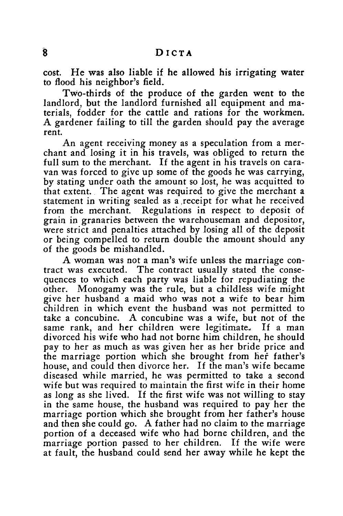cost. He was also liable if he allowed his irrigating water to flood his neighbor's field.

Two-thirds of the produce of the garden went to the landlord, but the landlord furnished all equipment and materials, fodder for the cattle and rations for the workmen. A gardener failing to till the garden should pay the average rent.

An agent receiving money as a speculation from a merchant and losing it in his travels, was obliged to return the full sum to the merchant. If the agent in his travels on caravan was forced to give up some of the goods he was carrying, by stating under oath the amount so lost, he was acquitted to that extent. The agent was required to give the merchant a statement in writing sealed as a receipt for what he received from the merchant. Regulations in respect to deposit of grain in granaries between the warehouseman and depositor, were strict and penalties attached by losing all of the deposit or being compelled to return double the amount should any of the goods be mishandled.

A woman was not a man's wife unless the marriage contract was executed. The contract usually stated the consequences to which each party was liable for repudiating the other. Monogamy was the rule, but a childless wife might give her husband a maid who was not a wife to bear him children in which event the husband was not permitted to take a concubine. A concubine was a wife, but not of the same rank, and her children were legitimate. If a man divorced his wife who had not borne him children, he should pay to her as much as was given her as her bride price and the marriage portion which she brought from her father's house, and could then divorce her. If the man's wife became diseased while married, he was permitted to take a second wife but was required to maintain the first wife in their home as long as she lived. If the first wife was not willing to stay in the same house, the husband was required to pay her the marriage portion which she brought from her father's house and then she could go. A father had no claim to the marriage portion of a deceased wife who had borne children, and the marriage portion passed to her children. If the wife were at fault, the husband could send her away while he kept the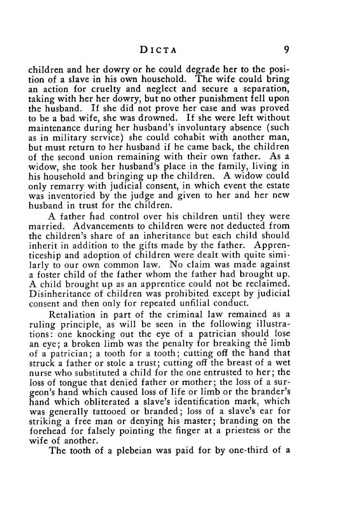children and her dowry or he could degrade her to the position of a slave in his own household. The wife could bring an action for cruelty and neglect and secure a separation, taking with her her dowry, but no other punishment fell upon the husband. If she did not prove her case and was proved to be a bad wife, she was drowned. If she were left without maintenance during her husband's involuntary absence (such as in military service) she could cohabit with another man, but must return to her husband if he came back, the children of the second union remaining with their own father. As a widow, she took her husband's place in the family, living in his household and bringing up the children. A widow could only remarry with judicial consent, in which event the estate was inventoried by the judge and given to her and her new husband in trust for the children.

A father tiad control over his children until they were married. Advancements to children were not deducted from the children's share of an inheritance but each child should inherit in addition to the gifts made by the father. Apprenticeship and adoption of children were dealt with quite similarly to our own common law. No claim was made against a foster child of the father whom the father had brought up. A child brought up as an apprentice could not be reclaimed. Disinheritance of children was prohibited except by judicial consent and then only for repeated unfilial conduct.

Retaliation in part of the criminal law remained as a ruling principle, as will be seen in the following illustrations: one knocking out the eye of a patrician should lose an eye; a broken limb was the penalty for breaking the limb of a patrician; a tooth for a tooth; cutting off the hand that struck a father or stole a trust; cutting off the breast of a wet nurse who substituted a child for the one entrusted to her; the loss of tongue that denied father or mother; the loss of a surgeon's hand which caused loss of life or limb or the brander's hand which obliterated a slave's identification mark, which was generally tattooed or branded; loss of a slave's ear for striking a free man or denying his master; branding on the forehead for falsely pointing the finger at a priestess or the wife of another.

The tooth of a plebeian was paid for by one-third of a